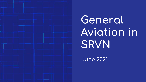**General Aviation in SRVN**

June 2021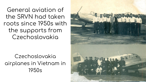General aviation of the SRVN had taken roots since 1950s with the supports from Czechoslovakia

Czechoslovakia airplanes in Vietnam in 1950s

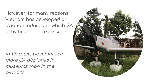However, for many reasons, Vietnam has developed an aviation industry in which GA activities are unlikely seen

In Vietnam, we might see more GA airplanes in museums than in the airports

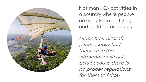

Not many GA activities in a country where people are very keen on flying and building airplanes

Home built aircraft pilots usually find themself in the situations of illegal acts because there is no proper regulations for them to follow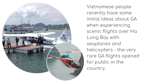

Vietnamese people recently have some initial ideas about GA when experiencing scenic flights over Ha Long Bay with seaplanes and helicopters - the very rare GA flights opened for public in the country.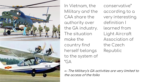

In Vietnam, the Military and the CAA share the authority over the GA industry. The situation make the country find herself belongs to the system of "GA

conservative" according to a very interesting definition I learned from Light Aircraft Association of the Czech Republic

← The Military's GA activities are very limited to the access of the folks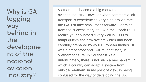**Why is GA lagging way behind in the developme nt of the national aviation industry?** 

Vietnam has become a big market for the aviation industry. However when commercial air transport is experiencing very high growth rate, the GA just take small steps forward. Learning from the success story of GA in the Czech RP, I realize your country did very well in 1990 to adapt quickly the new system which had been carefully prepared by your European friends . It was a great story and i will tell that story in Vietnam for sure. In Southeast Asia, unfortunately, there is not such a mechanism, in which a country can adapt a system from outside. Vietnam, in my point of view, is being confused for the way of developing the GA.